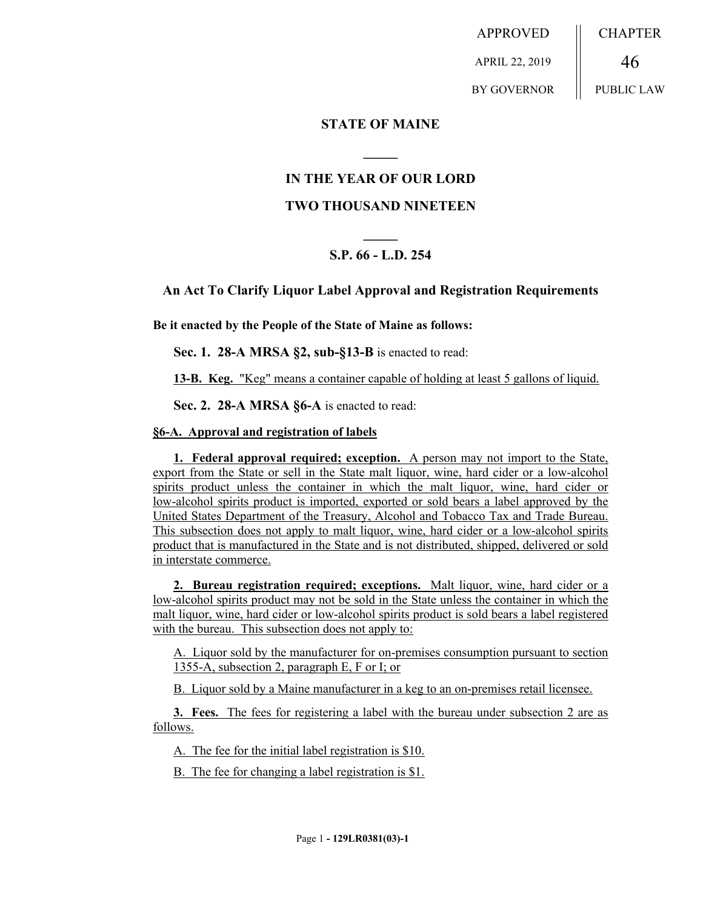APPROVED APRIL 22, 2019 BY GOVERNOR CHAPTER 46 PUBLIC LAW

**STATE OF MAINE**

## **IN THE YEAR OF OUR LORD**

**\_\_\_\_\_**

## **TWO THOUSAND NINETEEN**

# **\_\_\_\_\_ S.P. 66 - L.D. 254**

## **An Act To Clarify Liquor Label Approval and Registration Requirements**

**Be it enacted by the People of the State of Maine as follows:**

**Sec. 1. 28-A MRSA §2, sub-§13-B** is enacted to read:

**13-B. Keg.** "Keg" means a container capable of holding at least 5 gallons of liquid.

**Sec. 2. 28-A MRSA §6-A** is enacted to read:

#### **§6-A. Approval and registration of labels**

**1. Federal approval required; exception.** A person may not import to the State, export from the State or sell in the State malt liquor, wine, hard cider or a low-alcohol spirits product unless the container in which the malt liquor, wine, hard cider or low-alcohol spirits product is imported, exported or sold bears a label approved by the United States Department of the Treasury, Alcohol and Tobacco Tax and Trade Bureau. This subsection does not apply to malt liquor, wine, hard cider or a low-alcohol spirits product that is manufactured in the State and is not distributed, shipped, delivered or sold in interstate commerce.

**2. Bureau registration required; exceptions.** Malt liquor, wine, hard cider or a low-alcohol spirits product may not be sold in the State unless the container in which the malt liquor, wine, hard cider or low-alcohol spirits product is sold bears a label registered with the bureau. This subsection does not apply to:

A. Liquor sold by the manufacturer for on-premises consumption pursuant to section 1355-A, subsection 2, paragraph E, F or I; or

B. Liquor sold by a Maine manufacturer in a keg to an on-premises retail licensee.

**3. Fees.** The fees for registering a label with the bureau under subsection 2 are as follows.

A. The fee for the initial label registration is \$10.

B. The fee for changing a label registration is \$1.